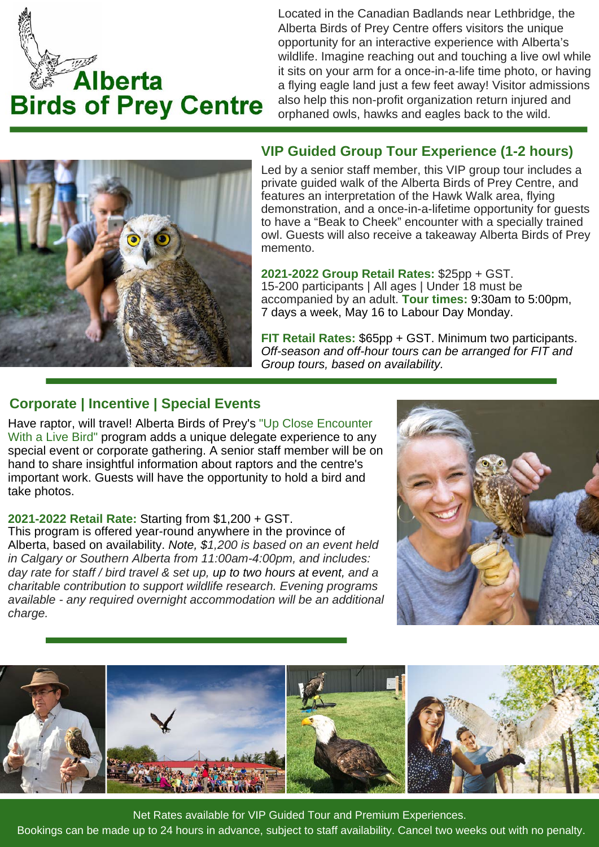

Located in the Canadian Badlands near Lethbridge, the Alberta Birds of Prey Centre offers visitors the unique opportunity for an interactive experience with Alberta's wildlife. Imagine reaching out and touching a live owl while it sits on your arm for a once-in-a-life time photo, or having a flying eagle land just a few feet away! Visitor admissions also help this non-profit organization return injured and orphaned owls, hawks and eagles back to the wild.



## **VIP Guided Group Tour Experience (1-2 hours)**

Led by a senior staff member, this VIP group tour includes a private guided walk of the Alberta Birds of Prey Centre, and features an interpretation of the Hawk Walk area, flying demonstration, and a once-in-a-lifetime opportunity for guests to have a "Beak to Cheek" encounter with a specially trained owl. Guests will also receive a takeaway Alberta Birds of Prey memento.

**2021-2022 Group Retail Rates:** \$25pp + GST. 15-200 participants | All ages | Under 18 must be accompanied by an adult. **Tour times:** 9:30am to 5:00pm, 7 days a week, May 16 to Labour Day Monday.

**FIT Retail Rates:** \$65pp + GST. Minimum two participants. *Off-season and off-hour tours can be arranged for FIT and Group tours, based on availability.*

### **Corporate | Incentive | Special Events**

Have raptor, will travel! Alberta Birds of Prey's "Up Close Encounter With a Live Bird" program adds a unique delegate experience to any special event or corporate gathering. A senior staff member will be on hand to share insightful information about raptors and the centre's important work. Guests will have the opportunity to hold a bird and take photos.

**2021-2022 Retail Rate:** Starting from \$1,200 + GST. This program is offered year-round anywhere in the province of Alberta, based on availability. *Note, \$1,200 is based on an event held in Calgary or Southern Alberta from 11:00am-4:00pm, and includes: day rate for staff / bird travel & set up, up to two hours at event, and a charitable contribution to support wildlife research. Evening programs available - any required overnight accommodation will be an additional charge.* 





Net Rates available for VIP Guided Tour and Premium Experiences. Bookings can be made up to 24 hours in advance, subject to staff availability. Cancel two weeks out with no penalty.